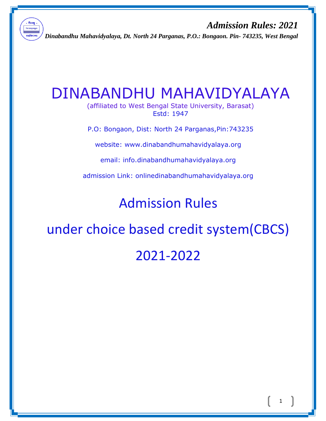

*Admission Rules: 2021 Dinabandhu Mahavidyalaya, Dt. North 24 Parganas, P.O.: Bongaon. Pin- 743235, West Bengal*

# DINABANDHU MAHAVIDYALAYA

(affiliated to West Bengal State University, Barasat) Estd: 1947

P.O: Bongaon, Dist: North 24 Parganas,Pin:743235

website: [www.dinabandhumahavidyalaya.org](http://www.dinabandhumahavidyalaya.org/)

email: [info.dinabandhumahavidyalaya.org](http://www.dinabandhumahavidyalaya.org/)

admission Link: onlin[edinabandhumahavidyalaya.org](http://www.dinabandhumahavidyalaya.org/)

Admission Rules

under choice based credit system(CBCS)

2021-2022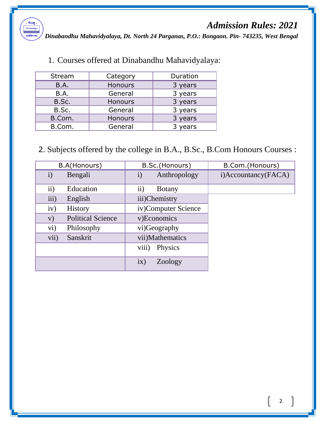

*Dinabandhu Mahavidyalaya, Dt. North 24 Parganas, P.O.: Bongaon. Pin- 743235, West Bengal*

| Stream      | Category       | Duration |
|-------------|----------------|----------|
| <b>B.A.</b> | Honours        | 3 years  |
| <b>B.A.</b> | General        | 3 years  |
| B.Sc.       | <b>Honours</b> | 3 years  |
| B.Sc.       | General        | 3 years  |
| B.Com.      | <b>Honours</b> | 3 years  |
| B.Com.      | General        | 3 years  |
|             |                |          |

1. Courses offered at Dinabandhu Mahavidyalaya:

2. Subjects offered by the college in B.A., B.Sc., B.Com Honours Courses :

| B.A(Honours)                     | B.Sc.(Honours)               | B.Com.(Honours)     |
|----------------------------------|------------------------------|---------------------|
| $\mathbf{i}$<br>Bengali          | Anthropology<br>$\mathbf{i}$ | i)Accountancy(FACA) |
| $\ddot{\textbf{i}}$<br>Education | $\rm ii)$<br><b>Botany</b>   |                     |
| iii)<br>English                  | iii)Chemistry                |                     |
| iv)<br><b>History</b>            | iv)Computer Science          |                     |
| <b>Political Science</b><br>V)   | v)Economics                  |                     |
| $\rm vi)$<br>Philosophy          | vi)Geography                 |                     |
| vii)<br>Sanskrit                 | vii)Mathematics              |                     |
|                                  | viii)<br><b>Physics</b>      |                     |
|                                  | ix)<br>Zoology               |                     |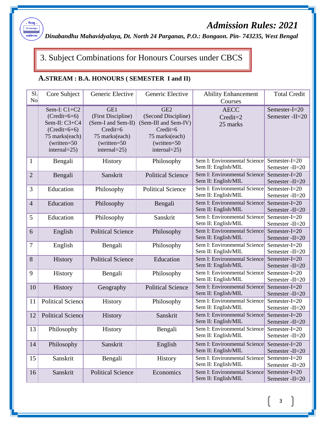

*Dinabandhu Mahavidyalaya, Dt. North 24 Parganas, P.O.: Bongaon. Pin- 743235, West Bengal*

# 3. Subject Combinations for Honours Courses under CBCS

#### **A.STREAM : B.A. HONOURS ( SEMESTER I and II)**

| $S1$ .<br>No   | Generic Elective<br>Core Subject                                                                                             |                                                                                                                      | Generic Elective                                                                                                                     | <b>Ability Enhancement</b><br>Courses               |                                     |
|----------------|------------------------------------------------------------------------------------------------------------------------------|----------------------------------------------------------------------------------------------------------------------|--------------------------------------------------------------------------------------------------------------------------------------|-----------------------------------------------------|-------------------------------------|
|                | Sem-I: $C1+C2$<br>$(Credit=6+6)$<br>Sem-II: C3+C4<br>$(Credit=6+6)$<br>75 marks(each)<br>$(written = 50$<br>internal= $25$ ) | GE1<br>(First Discipline)<br>(Sem-I and Sem-II)<br>Credit=6<br>75 marks(each)<br>$(written = 50$<br>$internal = 25)$ | GE <sub>2</sub><br>(Second Discipline)<br>(Sem-III and Sem-IV)<br>$Credit = 6$<br>75 marks(each)<br>$(written = 50)$<br>internal=25) | <b>AECC</b><br>$Credit=2$<br>25 marks               | Semester-I=20<br>Semester -II=20    |
| $\mathbf{1}$   | Bengali                                                                                                                      | History                                                                                                              | Philosophy                                                                                                                           | Sem I: Environmental Science<br>Sem II: English/MIL | Semester-I=20<br>Semester-II=20     |
| $\overline{2}$ | Bengali                                                                                                                      | Sanskrit                                                                                                             | <b>Political Science</b>                                                                                                             | Sem I: Environmental Science<br>Sem II: English/MIL | Semester-I=20<br>Semester -II=20    |
| 3              | Education                                                                                                                    | Philosophy                                                                                                           | <b>Political Science</b>                                                                                                             | Sem I: Environmental Science<br>Sem II: English/MIL | Semester-I=20<br>Semester-II=20     |
| $\overline{4}$ | Education                                                                                                                    | Philosophy                                                                                                           | Bengali                                                                                                                              | Sem I: Environmental Science<br>Sem II: English/MIL | Semester-I=20<br>Semester -II=20    |
| 5              | Education                                                                                                                    | Philosophy                                                                                                           | Sanskrit                                                                                                                             | Sem I: Environmental Science<br>Sem II: English/MIL | Semester-I=20<br>Semester-II=20     |
| 6              | English                                                                                                                      | <b>Political Science</b>                                                                                             | Philosophy                                                                                                                           | Sem I: Environmental Science<br>Sem II: English/MIL | Semester- $I=20$<br>Semester -II=20 |
| 7              | English                                                                                                                      | Bengali                                                                                                              | Philosophy                                                                                                                           | Sem I: Environmental Science<br>Sem II: English/MIL | Semester-I=20<br>Semester-II=20     |
| 8              | History                                                                                                                      | <b>Political Science</b>                                                                                             | Education                                                                                                                            | Sem I: Environmental Science<br>Sem II: English/MIL | Semester-I=20<br>Semester -II=20    |
| 9              | History                                                                                                                      | Bengali                                                                                                              | Philosophy                                                                                                                           | Sem I: Environmental Science<br>Sem II: English/MIL | Semester-I=20<br>Semester -II=20    |
| 10             | History                                                                                                                      | Geography                                                                                                            | <b>Political Science</b>                                                                                                             | Sem I: Environmental Science<br>Sem II: English/MIL | Semester-I=20<br>Semester -II=20    |
| 11             | Political Science                                                                                                            | History                                                                                                              | Philosophy                                                                                                                           | Sem I: Environmental Science<br>Sem II: English/MIL | Semester-I=20<br>Semester-II=20     |
| 12             | <b>Political Science</b>                                                                                                     | History                                                                                                              | Sanskrit                                                                                                                             | Sem I: Environmental Science<br>Sem II: English/MIL | Semester- $I=20$<br>Semester -II=20 |
| 13             | Philosophy                                                                                                                   | <b>History</b>                                                                                                       | Bengali                                                                                                                              | Sem I: Environmental Science<br>Sem II: English/MIL | Semester-I=20<br>Semester -II=20    |
| 14             | Philosophy                                                                                                                   | Sanskrit                                                                                                             | English                                                                                                                              | Sem I: Environmental Science<br>Sem II: English/MIL | Semester-I=20<br>Semester -II=20    |
| 15             | Sanskrit                                                                                                                     | Bengali                                                                                                              | <b>History</b>                                                                                                                       | Sem I: Environmental Science<br>Sem II: English/MIL | Semester-I=20<br>Semester -II=20    |
| 16             | Sanskrit                                                                                                                     | <b>Political Science</b>                                                                                             | Economics                                                                                                                            | Sem I: Environmental Science<br>Sem II: English/MIL | Semester-I=20<br>Semester -II=20    |

3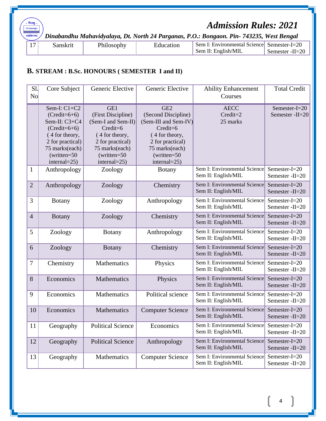*Dinabandhu Mahavidyalaya, Dt. North 24 Parganas, P.O.: Bongaon. Pin- 743235, West Bengal*

| $\overline{ }$<br>$\mathbf{I}$ | 'SKITE | ה לר | t10n | Sem.<br>: Environmental Sciencel | Semester- $I=20$     |
|--------------------------------|--------|------|------|----------------------------------|----------------------|
|                                |        |      |      | Sem II: English/MIL              | -II=20<br>. Semester |
|                                |        |      |      |                                  |                      |

#### **B. STREAM : B.Sc. HONOURS ( SEMESTER I and II)**

. <mark>দীনবন্ধু</mark> বিদ্যয়াহমৃতমন্ত্ৰুতে মহাবিদ্যালয়

| Sl.<br>No      | Core Subject                                                                                                                                                       | Generic Elective                                                                                                                                           |                                                                                                                                                                           | <b>Ability Enhancement</b><br>Courses               | <b>Total Credit</b>                 |
|----------------|--------------------------------------------------------------------------------------------------------------------------------------------------------------------|------------------------------------------------------------------------------------------------------------------------------------------------------------|---------------------------------------------------------------------------------------------------------------------------------------------------------------------------|-----------------------------------------------------|-------------------------------------|
|                | Sem-I: $C1+C2$<br>$(Credit=6+6)$<br>Sem-II: C3+C4<br>$(Credit=6+6)$<br>(4 for theory,<br>2 for practical)<br>75 marks(each)<br>$(written = 50$<br>internal= $25$ ) | GE1<br>(First Discipline)<br>(Sem-I and Sem-II)<br>Credit=6<br>(4 for theory,<br>2 for practical)<br>75 marks(each)<br>$(written = 50$<br>internal= $25$ ) | GE <sub>2</sub><br>(Second Discipline)<br>(Sem-III and Sem-IV)<br>$Credit = 6$<br>(4 for theory,<br>2 for practical)<br>75 marks(each)<br>$(written = 50$<br>internal=25) | <b>AECC</b><br>Credit=2<br>25 marks                 | Semester-I=20<br>Semester -II=20    |
| $\mathbf{1}$   | Anthropology                                                                                                                                                       | Zoology                                                                                                                                                    | <b>Botany</b>                                                                                                                                                             | Sem I: Environmental Science<br>Sem II: English/MIL | Semester-I=20<br>Semester -II=20    |
| $\overline{2}$ | Anthropology                                                                                                                                                       | Zoology                                                                                                                                                    | Chemistry                                                                                                                                                                 | Sem I: Environmental Science<br>Sem II: English/MIL | Semester-I=20<br>Semester -II=20    |
| 3              | <b>Botany</b>                                                                                                                                                      | Zoology                                                                                                                                                    | Anthropology                                                                                                                                                              | Sem I: Environmental Science<br>Sem II: English/MIL | Semester-I=20<br>Semester -II=20    |
| $\overline{4}$ | <b>Botany</b>                                                                                                                                                      | Zoology                                                                                                                                                    | Chemistry                                                                                                                                                                 | Sem I: Environmental Science<br>Sem II: English/MIL | Semester- $I=20$<br>Semester -II=20 |
| 5              | Zoology                                                                                                                                                            | <b>Botany</b>                                                                                                                                              | Anthropology                                                                                                                                                              | Sem I: Environmental Science<br>Sem II: English/MIL | Semester- $I=20$<br>Semester -II=20 |
| 6              | Zoology                                                                                                                                                            | <b>Botany</b>                                                                                                                                              | Chemistry                                                                                                                                                                 | Sem I: Environmental Science<br>Sem II: English/MIL | Semester-I=20<br>Semester -II=20    |
| $\tau$         | Chemistry                                                                                                                                                          | Mathematics                                                                                                                                                | Physics                                                                                                                                                                   | Sem I: Environmental Science<br>Sem II: English/MIL | Semester-I=20<br>Semester -II=20    |
| 8              | Economics                                                                                                                                                          | Mathematics                                                                                                                                                | Physics                                                                                                                                                                   | Sem I: Environmental Science<br>Sem II: English/MIL | Semester-I=20<br>Semester -II=20    |
| 9              | Economics                                                                                                                                                          | Mathematics                                                                                                                                                | Political science                                                                                                                                                         | Sem I: Environmental Science<br>Sem II: English/MIL | Semester-I=20<br>Semester -II=20    |
| 10             | Economics                                                                                                                                                          | Mathematics                                                                                                                                                | <b>Computer Science</b>                                                                                                                                                   | Sem I: Environmental Science<br>Sem II: English/MIL | Semester-I=20<br>Semester -II=20    |
| 11             | Geography                                                                                                                                                          | <b>Political Science</b>                                                                                                                                   | Economics                                                                                                                                                                 | Sem I: Environmental Science<br>Sem II: English/MIL | Semester-I=20<br>Semester -II=20    |
| 12             | Geography                                                                                                                                                          | <b>Political Science</b>                                                                                                                                   | Anthropology                                                                                                                                                              | Sem I: Environmental Science<br>Sem II: English/MIL | Semester-I=20<br>Semester -II=20    |
| 13             | Geography                                                                                                                                                          | Mathematics                                                                                                                                                | <b>Computer Science</b>                                                                                                                                                   | Sem I: Environmental Science<br>Sem II: English/MIL | Semester-I=20<br>Semester -II=20    |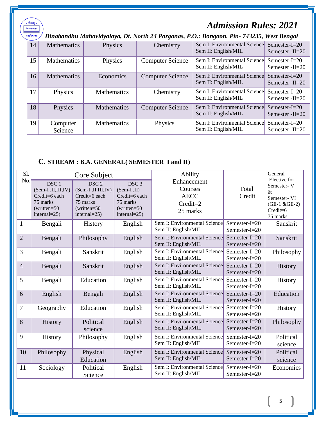| দীনবন্ধু<br>বিদ্যয়াহমুতমশ্ৰুতে<br>মহাবিদ্যালয় |                     |                    |                         | <b>Admission Rules: 2021</b><br>Dinabandhu Mahavidyalaya, Dt. North 24 Parganas, P.O.: Bongaon. Pin-743235, West Bengal |                                         |
|-------------------------------------------------|---------------------|--------------------|-------------------------|-------------------------------------------------------------------------------------------------------------------------|-----------------------------------------|
| 14                                              | <b>Mathematics</b>  | Physics            | Chemistry               | Sem I: Environmental Science<br>Sem II: English/MIL                                                                     | Semester- $I=20$<br>Semester $-II=20$   |
| 15                                              | <b>Mathematics</b>  | Physics            | <b>Computer Science</b> | Sem I: Environmental Science<br>Sem II: English/MIL                                                                     | Semester- $I=20$<br>Semester $-II = 20$ |
| 16                                              | <b>Mathematics</b>  | Economics          | <b>Computer Science</b> | Sem I: Environmental Science<br>Sem II: English/MIL                                                                     | $Semester-I=20$<br>Semester $-II=20$    |
| 17                                              | Physics             | <b>Mathematics</b> | Chemistry               | Sem I: Environmental Science<br>Sem II: English/MIL                                                                     | Semester- $I=20$<br>Semester $-II = 20$ |
| 18                                              | Physics             | <b>Mathematics</b> | <b>Computer Science</b> | Sem I: Environmental Science<br>Sem II: English/MIL                                                                     | Semester- $I=20$<br>Semester $-II = 20$ |
| 19                                              | Computer<br>Science | <b>Mathematics</b> | Physics                 | Sem I: Environmental Sciencel<br>Sem II: English/MIL                                                                    | Semester- $I=20$<br>Semester -II=20     |

### **C. STREAM : B.A. GENERAL( SEMESTER I and II)**

| Sl.            |                                                                                                           | Core Subject                                                                                                  |                                                                                                      | Ability                                                           |                                      | General                                                                                       |
|----------------|-----------------------------------------------------------------------------------------------------------|---------------------------------------------------------------------------------------------------------------|------------------------------------------------------------------------------------------------------|-------------------------------------------------------------------|--------------------------------------|-----------------------------------------------------------------------------------------------|
| No.            | DSC <sub>1</sub><br>(Sem-I,II,III,IV)<br>Credit=6 each<br>75 marks<br>$(written = 50$<br>internal= $25$ ) | DSC <sub>2</sub><br>$(Sem-I, II, III, IV)$<br>Credit=6 each<br>75 marks<br>$(written = 50$<br>$internal = 25$ | DSC <sub>3</sub><br>$(Sem-I,II)$<br>Credit=6 each<br>75 marks<br>$(written = 50$<br>internal= $25$ ) | Enhancement<br>Courses<br><b>AECC</b><br>$Credit = 2$<br>25 marks | Total<br>Credit                      | Elective for<br>Semester-V<br>$\&$<br>Semester- VI<br>$(GE-1 & GE-2)$<br>Credit=6<br>75 marks |
| $\mathbf{1}$   | Bengali                                                                                                   | <b>History</b>                                                                                                | English                                                                                              | Sem I: Environmental Science<br>Sem II: English/MIL               | Semester-I=20<br>Semester-I=20       | Sanskrit                                                                                      |
| $\overline{2}$ | Bengali                                                                                                   | Philosophy                                                                                                    | English                                                                                              | Sem I: Environmental Science<br>Sem II: English/MIL               | Semester-I=20<br>Semester-I=20       | Sanskrit                                                                                      |
| 3              | Bengali                                                                                                   | Sanskrit                                                                                                      | English                                                                                              | Sem I: Environmental Science<br>Sem II: English/MIL               | Semester-I=20<br>Semester-I=20       | Philosophy                                                                                    |
| $\overline{4}$ | Bengali                                                                                                   | Sanskrit                                                                                                      | English                                                                                              | Sem I: Environmental Science<br>Sem II: English/MIL               | Semester- $I=20$<br>Semester- $I=20$ | History                                                                                       |
| 5              | Bengali                                                                                                   | Education                                                                                                     | English                                                                                              | Sem I: Environmental Science<br>Sem II: English/MIL               | Semester-I=20<br>Semester- $I=20$    | History                                                                                       |
| 6              | English                                                                                                   | Bengali                                                                                                       | English                                                                                              | Sem I: Environmental Science<br>Sem II: English/MIL               | Semester-I=20<br>Semester- $I=20$    | Education                                                                                     |
| 7              | Geography                                                                                                 | Education                                                                                                     | English                                                                                              | Sem I: Environmental Science<br>Sem II: English/MIL               | Semester-I=20<br>Semester-I=20       | History                                                                                       |
| 8              | History                                                                                                   | Political<br>science                                                                                          | English                                                                                              | Sem I: Environmental Science<br>Sem II: English/MIL               | Semester-I=20<br>Semester- $I=20$    | Philosophy                                                                                    |
| 9              | <b>History</b>                                                                                            | Philosophy                                                                                                    | English                                                                                              | Sem I: Environmental Science<br>Sem II: English/MIL               | Semester-I=20<br>Semester-I=20       | Political<br>science                                                                          |
| 10             | Philosophy                                                                                                | Physical<br>Education                                                                                         | English                                                                                              | Sem I: Environmental Science<br>Sem II: English/MIL               | Semester-I=20<br>Semester- $I=20$    | Political<br>science                                                                          |
| 11             | Sociology                                                                                                 | Political<br>Science                                                                                          | English                                                                                              | Sem I: Environmental Science<br>Sem II: English/MIL               | Semester-I=20<br>Semester-I=20       | Economics                                                                                     |

5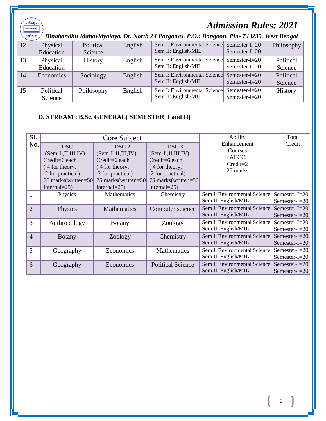| . नीनवकु<br><b>Admission Rules: 2021</b><br>বিদ্যয়াহমৃতমন্ত্ৰুতে<br>মহাবিদ্যালয়<br>Dinabandhu Mahavidyalaya, Dt. North 24 Parganas, P.O.: Bongaon. Pin- 743235, West Bengal |                       |                      |         |                                                                   |                                      |                      |  |  |  |
|-------------------------------------------------------------------------------------------------------------------------------------------------------------------------------|-----------------------|----------------------|---------|-------------------------------------------------------------------|--------------------------------------|----------------------|--|--|--|
| 12                                                                                                                                                                            | Physical<br>Education | Political<br>Science | English | Sem I: Environmental Science Semester-I=20<br>Sem II: English/MIL | Semester- $I=20$                     | Philosophy           |  |  |  |
| 13                                                                                                                                                                            | Physical<br>Education | <b>History</b>       | English | Sem I: Environmental Science<br>Sem II: English/MIL               | Semester- $I=20$<br>Semester- $I=20$ | Political<br>Science |  |  |  |
| 14                                                                                                                                                                            | Economics             | Sociology            | English | Sem I: Environmental Science<br>Sem II: English/MIL               | Semester- $I=20$<br>Semester- $I=20$ | Political<br>Science |  |  |  |
| 15                                                                                                                                                                            | Political<br>Science  | Philosophy           | English | Sem I: Environmental Science Semester-I=20<br>Sem II: English/MIL | Semester- $I=20$                     | <b>History</b>       |  |  |  |

### **D. STREAM : B.Sc. GENERAL( SEMESTER I and II)**

| SI.            |                                                                                                                                              | Core Subject                                                                                                                                 |                                                                                                                                              | Ability                                                           | Total                                |
|----------------|----------------------------------------------------------------------------------------------------------------------------------------------|----------------------------------------------------------------------------------------------------------------------------------------------|----------------------------------------------------------------------------------------------------------------------------------------------|-------------------------------------------------------------------|--------------------------------------|
| No.            | DSC <sub>1</sub><br>$(Sem-I, II, III, IV)$<br>Credit=6 each<br>(4 for theory,<br>2 for practical)<br>75 marks(written=50<br>internal= $25$ ) | DSC <sub>2</sub><br>$(Sem-I, II, III, IV)$<br>Credit=6 each<br>(4 for theory,<br>2 for practical)<br>75 marks(written=50<br>internal= $25$ ) | DSC <sub>3</sub><br>$(Sem-I, II, III, IV)$<br>Credit=6 each<br>(4 for theory,<br>2 for practical)<br>75 marks(written=50<br>internal= $25$ ) | Enhancement<br>Courses<br><b>AECC</b><br>$Credit = 2$<br>25 marks | Credit                               |
| $\mathbf{1}$   | Physics                                                                                                                                      | Mathematics                                                                                                                                  | Chemistry                                                                                                                                    | Sem I: Environmental Science<br>Sem II: English/MIL               | Semester-I=20<br>Semester- $I=20$    |
| $\overline{2}$ | Physics                                                                                                                                      | <b>Mathematics</b>                                                                                                                           | Computer science                                                                                                                             | Sem I: Environmental Science<br>Sem II: English/MIL               | Semester- $I=20$<br>Semester- $I=20$ |
| 3              | Anthropology                                                                                                                                 | <b>Botany</b>                                                                                                                                | Zoology                                                                                                                                      | Sem I: Environmental Science<br>Sem II: English/MIL               | Semester-I=20<br>Semester-I=20       |
| $\overline{4}$ | <b>B</b> otany                                                                                                                               | Zoology                                                                                                                                      | Chemistry                                                                                                                                    | Sem I: Environmental Science<br>Sem II: English/MIL               | Semester- $I=20$<br>Semester-I= $20$ |
| 5              | Geography                                                                                                                                    | Economics                                                                                                                                    | Mathematics                                                                                                                                  | Sem I: Environmental Science<br>Sem II: English/MIL               | Semester-I=20<br>Semester-I=20       |
| 6              | Geography                                                                                                                                    | Economics                                                                                                                                    | <b>Political Science</b>                                                                                                                     | Sem I: Environmental Science<br>Sem II: English/MIL               | Semester-I=20<br>Semester-I= $20$    |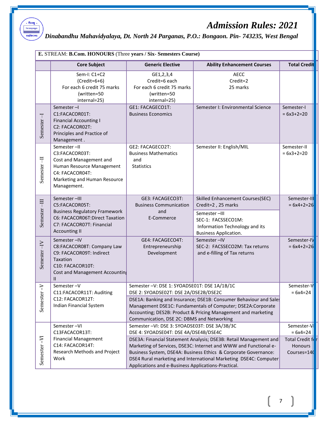

### *Dinabandhu Mahavidyalaya, Dt. North 24 Parganas, P.O.: Bongaon. Pin- 743235, West Bengal*

|                     | E. STREAM: B.Com. HONOURS (Three years / Six- Semesters Course)                                                                                               |                                                                                                                                                                                                                                                                                                                                                                                                                              |                                                                                                                                                                |                                 |  |  |  |
|---------------------|---------------------------------------------------------------------------------------------------------------------------------------------------------------|------------------------------------------------------------------------------------------------------------------------------------------------------------------------------------------------------------------------------------------------------------------------------------------------------------------------------------------------------------------------------------------------------------------------------|----------------------------------------------------------------------------------------------------------------------------------------------------------------|---------------------------------|--|--|--|
|                     | <b>Core Subject</b>                                                                                                                                           | <b>Generic Elective</b>                                                                                                                                                                                                                                                                                                                                                                                                      | <b>Ability Enhancement Courses</b>                                                                                                                             | <b>Total Credit</b>             |  |  |  |
|                     | Sem-I: C1+C2<br>$(Credit=6+6)$<br>For each 6 credit 75 marks<br>(written=50<br>internal=25)                                                                   | GE1,2,3,4<br>Credit=6 each<br>For each 6 credit 75 marks<br>(written=50<br>internal=25)                                                                                                                                                                                                                                                                                                                                      | <b>AECC</b><br>Credit=2<br>25 marks                                                                                                                            |                                 |  |  |  |
| $\top$<br>Semester  | Semester-I<br>C1:FACACOR01T:<br><b>Financial Accounting I</b><br>C2: FACACOR02T:<br>Principles and Practice of<br>Management.                                 | GE1: FACAGECO1T:<br><b>Business Economics</b>                                                                                                                                                                                                                                                                                                                                                                                | Semester I: Environmental Science                                                                                                                              | Semester-I<br>$= 6x3+2=20$      |  |  |  |
| Semester-II         | Semester-II<br>C3:FACACOR03T:<br>Cost and Management and<br>Human Resource Management<br>C4: FACACOR04T:<br>Marketing and Human Resource<br>Management.       | GE2: FACAGECO2T:<br><b>Business Mathematics</b><br>and<br><b>Statistics</b>                                                                                                                                                                                                                                                                                                                                                  | Semester II: English/MIL                                                                                                                                       | Semester-II<br>$= 6x3+2=20$     |  |  |  |
| Semester-III        | Semester-III<br>C5:FACACOR05T:<br><b>Business Regulatory Framework</b><br>C6: FACACOR06T:Direct Taxation<br>C7: FACACOR07T: Financial<br><b>Accounting II</b> | GE3: FACAGECO3T:<br><b>Business Communication</b><br>and<br>E-Commerce                                                                                                                                                                                                                                                                                                                                                       | Skilled Enhancement Courses(SEC)<br>Credit=2, 25 marks<br>Semester-III<br>SEC-1: FACSSECO1M:<br>Information Technology and its<br><b>Business Application.</b> | Semester-II<br>$= 6x4 + 2 = 26$ |  |  |  |
| Semester-IV         | Semester-IV<br>C8:FACACOR08T: Company Law<br>C9: FACACOR09T: Indirect<br>Taxation<br>C10: FACACOR10T:<br>Cost and Management Accountin<br>Ш                   | GE4: FACAGECO4T:<br>Entrepreneurship<br>Development                                                                                                                                                                                                                                                                                                                                                                          | Semester-IV<br>SEC-2: FACSSECO2M: Tax returns<br>and e-filling of Tax returns                                                                                  | Semester-IV<br>$= 6x4 + 2 = 26$ |  |  |  |
| ⊳<br>-1<br>Semester | Semester-V<br>C11:FACACOR11T: Auditing<br>C12: FACACOR12T:<br>Indian Financial System                                                                         | Semester -V: DSE 1: SYOADSE01T: DSE 1A/1B/1C<br>DSE 2: SYOADSE02T: DSE 2A/DSE2B/DSE2C<br>DSE1A: Banking and Insurance; DSE1B: Consumer Behaviour and Sales<br>Management DSE1C: Fundamentals of Computer; DSE2A:Corporate<br>Accounting; DES2B: Product & Pricing Management and marketing<br>Communication, DSE 2C: DBMS and Networking                                                                                     | Semester-V<br>$= 6x4=24$                                                                                                                                       |                                 |  |  |  |
| Semester-VI         | Semester-VI<br>C13FACACOR13T:<br><b>Financial Management</b><br>C14: FACACOR14T:<br>Research Methods and Project<br>Work                                      | Semester-VI: DSE 3: SYOADSE03T: DSE 3A/3B/3C<br>DSE 4: SYOADSE04T: DSE 4A/DSE4B/DSE4C<br>DSE3A: Financial Statement Analysis; DSE3B: Retail Management and<br>Marketing of Services, DSE3C: Internet and WWW and Functional e-<br>Business System, DSE4A: Business Ethics & Corporate Governance:<br>DSE4 Rural marketing and International Marketing DSE4C: Computer<br>Applications and e-Business Applications-Practical. | Semester-V<br>$= 6x4=24$<br>Total Credit f<br>Honours<br>Courses=140                                                                                           |                                 |  |  |  |

7

ſ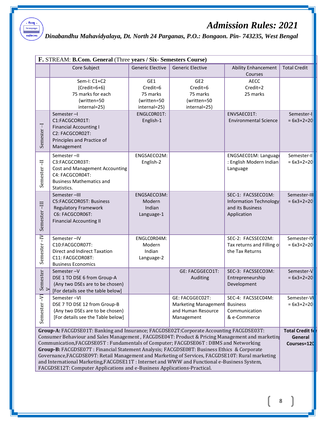## মহাবিদ্যালয়

# *Admission Rules: 2021*

*Dinabandhu Mahavidyalaya, Dt. North 24 Parganas, P.O.: Bongaon. Pin- 743235, West Bengal*

|                                                                                                                                                                                                                                                                                                                                                                                                                                                                                                                                                                                                                                                                  | F. STREAM: B.Com. General (Three years / Six- Semesters Course)                                                                      |                                                            |                                                                             |                                                                                 |                                 |  |  |  |  |
|------------------------------------------------------------------------------------------------------------------------------------------------------------------------------------------------------------------------------------------------------------------------------------------------------------------------------------------------------------------------------------------------------------------------------------------------------------------------------------------------------------------------------------------------------------------------------------------------------------------------------------------------------------------|--------------------------------------------------------------------------------------------------------------------------------------|------------------------------------------------------------|-----------------------------------------------------------------------------|---------------------------------------------------------------------------------|---------------------------------|--|--|--|--|
|                                                                                                                                                                                                                                                                                                                                                                                                                                                                                                                                                                                                                                                                  | Core Subject                                                                                                                         | <b>Generic Elective</b>                                    | <b>Generic Elective</b>                                                     | <b>Ability Enhancement</b><br>Courses                                           | <b>Total Credit</b>             |  |  |  |  |
|                                                                                                                                                                                                                                                                                                                                                                                                                                                                                                                                                                                                                                                                  | Sem-I: C1+C2<br>$(Credit=6+6)$<br>75 marks for each<br>(written=50<br>internal=25)                                                   | GE1<br>Credit=6<br>75 marks<br>(written=50<br>internal=25) | GE <sub>2</sub><br>Credit=6<br>75 marks<br>(written=50<br>internal=25)      | <b>AECC</b><br>Credit=2<br>25 marks                                             |                                 |  |  |  |  |
| Semester-I                                                                                                                                                                                                                                                                                                                                                                                                                                                                                                                                                                                                                                                       | Semester-I<br>C1:FACGCOR01T:<br><b>Financial Accounting I</b><br>C2: FACGCOR02T:<br>Principles and Practice of<br>Management         | ENGLCORO1T:<br>English-1                                   |                                                                             | ENVSAEC01T:<br><b>Environmental Science</b>                                     | Semester-I<br>$= 6x3+2=20$      |  |  |  |  |
| Semester-II                                                                                                                                                                                                                                                                                                                                                                                                                                                                                                                                                                                                                                                      | Semester-II<br>C3:FACGCOR03T:<br>Cost and Management Accounting<br>C4: FACGCOR04T:<br><b>Business Mathematics and</b><br>Statistics. | ENGSAECO2M:<br>English-2                                   |                                                                             | ENGSAEC01M: Language<br>: English Modern Indian<br>Language                     | Semester-II<br>$= 6x3 + 2 = 20$ |  |  |  |  |
| $-III$<br>Semester                                                                                                                                                                                                                                                                                                                                                                                                                                                                                                                                                                                                                                               | Semester-III<br>C5:FACGCOR05T: Business<br><b>Regulatory Framework</b><br>C6: FACGCOR06T:<br><b>Financial Accounting II</b>          | ENGSAECO3M:<br>Modern<br>Indian<br>Language-1              |                                                                             | SEC-1: FACSSECO1M:<br>Information Technology<br>and its Business<br>Application | Semester-II<br>$= 6x3+2=20$     |  |  |  |  |
| Semester-IV                                                                                                                                                                                                                                                                                                                                                                                                                                                                                                                                                                                                                                                      | Semester-IV<br>C10:FACGCOR07T:<br>Direct and Indirect Taxation<br>C11: FACGCOR08T:<br><b>Business Economics</b>                      | ENGLCOR04M:<br>Modern<br>Indian<br>Language-2              |                                                                             | SEC-2: FACSSEC02M:<br>Tax returns and Filling of<br>the Tax Returns             | Semester-IV<br>$= 6x3 + 2 = 20$ |  |  |  |  |
| Semester<br>V                                                                                                                                                                                                                                                                                                                                                                                                                                                                                                                                                                                                                                                    | Semester-V<br>DSE 1 TO DSE 6 from Group-A<br>(Any two DSEs are to be chosen)<br>[For details see the table below]                    |                                                            | GE: FACGGECO1T:<br>Auditing                                                 | SEC-3: FACSSECO3M:<br>Entrepreneurship<br>Development                           | Semester-V<br>$= 6x3 + 2 = 20$  |  |  |  |  |
| Semester-V                                                                                                                                                                                                                                                                                                                                                                                                                                                                                                                                                                                                                                                       | Semester-VI<br>DSE 7 TO DSE 12 from Group-B<br>(Any two DSEs are to be chosen)<br>[For details see the Table below]                  |                                                            | GE: FACGGEC02T:<br>Marketing Management<br>and Human Resource<br>Management | SEC-4: FACSSEC04M:<br><b>Business</b><br>Communication<br>& e-Commerce          | Semester-VI<br>$= 6x3+2=20$     |  |  |  |  |
| Group-A: FACGDSE01T: Banking and Insurance; FACGDSE02T:Corporate Accounting FACGDSE03T:<br>Consumer Behaviour and Sales Management, FACGDSE04T: Product & Pricing Management and marketin<br>Communication, FACGDSE05T: Fundamentals of Computer; FACGDSE06T: DBMS and Networking<br>Group-B: FACGDSE07T : Financial Statement Analysis; FACGDSE08T: Business Ethics & Corporate<br>Governance, FACGDSE09T: Retail Management and Marketing of Services, FACGDSE10T: Rural marketing<br>and International Marketing, FACGDSE11T : Internet and WWW and Functional e-Business System,<br>FACGDSE12T: Computer Applications and e-Business Applications-Practical. |                                                                                                                                      |                                                            |                                                                             |                                                                                 |                                 |  |  |  |  |
|                                                                                                                                                                                                                                                                                                                                                                                                                                                                                                                                                                                                                                                                  |                                                                                                                                      |                                                            |                                                                             |                                                                                 |                                 |  |  |  |  |

8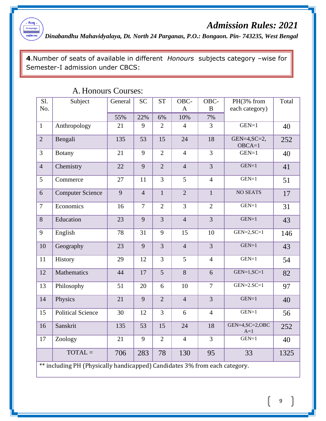

*Dinabandhu Mahavidyalaya, Dt. North 24 Parganas, P.O.: Bongaon. Pin- 743235, West Bengal*

**4**.Number of seats of available in different *Honours* subjects category –wise for Semester-I admission under CBCS:

| Sl.            | Subject                                                                    | General | <b>SC</b>      | <b>ST</b>      | OBC-           | OBC-           | PH(3% from                  | Total |
|----------------|----------------------------------------------------------------------------|---------|----------------|----------------|----------------|----------------|-----------------------------|-------|
| No.            |                                                                            |         |                |                | $\mathbf{A}$   | $\bf{B}$       | each category)              |       |
|                |                                                                            | 55%     | 22%            | 6%             | 10%            | 7%             |                             |       |
| $\mathbf{1}$   | Anthropology                                                               | 21      | 9              | $\overline{2}$ | $\overline{4}$ | $\overline{3}$ | $GEN=1$                     | 40    |
| $\overline{2}$ | Bengali                                                                    | 135     | 53             | 15             | 24             | 18             | GEN= $4,SC=2$ ,<br>$OBCA=1$ | 252   |
| $\overline{3}$ | <b>Botany</b>                                                              | 21      | 9              | $\overline{2}$ | $\overline{4}$ | $\overline{3}$ | $GEN=1$                     | 40    |
| $\overline{4}$ | Chemistry                                                                  | 22      | 9              | $\overline{2}$ | $\overline{4}$ | $\overline{3}$ | $GEN=1$                     | 41    |
| 5              | Commerce                                                                   | 27      | 11             | $\overline{3}$ | 5              | $\overline{4}$ | $GEN=1$                     | 51    |
| 6              | <b>Computer Science</b>                                                    | 9       | $\overline{4}$ | $\mathbf{1}$   | $\overline{2}$ | $\mathbf{1}$   | <b>NO SEATS</b>             | 17    |
| $\overline{7}$ | Economics                                                                  | 16      | $\overline{7}$ | $\overline{2}$ | 3              | $\overline{2}$ | $GEN=1$                     | 31    |
| 8              | Education                                                                  | 23      | 9              | $\overline{3}$ | $\overline{4}$ | $\overline{3}$ | $GEN=1$                     | 43    |
| 9              | English                                                                    | 78      | 31             | 9              | 15             | 10             | $GEN=2, SC=1$               | 146   |
| 10             | Geography                                                                  | 23      | 9              | $\overline{3}$ | $\overline{4}$ | $\overline{3}$ | $GEN=1$                     | 43    |
| 11             | History                                                                    | 29      | 12             | $\overline{3}$ | 5              | $\overline{4}$ | $GEN=1$                     | 54    |
| 12             | Mathematics                                                                | 44      | 17             | 5 <sup>5</sup> | 8              | 6              | $GEN=1, SC=1$               | 82    |
| 13             | Philosophy                                                                 | 51      | 20             | 6              | 10             | $\overline{7}$ | $GEN=2.SC=1$                | 97    |
| 14             | Physics                                                                    | 21      | 9              | $\overline{2}$ | $\overline{4}$ | $\overline{3}$ | $GEN=1$                     | 40    |
| 15             | <b>Political Science</b>                                                   | 30      | 12             | $\overline{3}$ | 6              | $\overline{4}$ | $GEN=1$                     | 56    |
| 16             | Sanskrit                                                                   | 135     | 53             | 15             | 24             | 18             | GEN=4, SC=2, OBC<br>$A=1$   | 252   |
| 17             | Zoology                                                                    | 21      | 9              | $\overline{2}$ | $\overline{4}$ | $\overline{3}$ | $GEN=1$                     | 40    |
|                | $TOTAL =$                                                                  | 706     | 283            | 78             | 130            | 95             | 33                          | 1325  |
|                | ** including PH (Physically handicapped) Candidates 3% from each category. |         |                |                |                |                |                             |       |

### A. Honours Courses: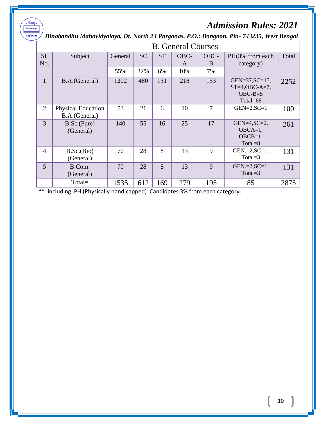*Dinabandhu Mahavidyalaya, Dt. North 24 Parganas, P.O.: Bongaon. Pin- 743235, West Bengal*

.<br>- पीनवक्रू ।<br>বিদ্যাহমূতমন্ত্ৰুতে <u><br>মহাবিদ্যালয়</u>

| <b>B.</b> General Courses |                                            |         |           |           |           |           |                                                                    |       |
|---------------------------|--------------------------------------------|---------|-----------|-----------|-----------|-----------|--------------------------------------------------------------------|-------|
| Sl.<br>No.                | Subject                                    | General | <b>SC</b> | <b>ST</b> | OBC-<br>A | OBC-<br>B | PH(3% from each)<br>category)                                      | Total |
|                           |                                            | 55%     | 22%       | 6%        | 10%       | 7%        |                                                                    |       |
| $\mathbf{1}$              | B.A.(General)                              | 1202    | 480       | 131       | 218       | 153       | $GEN = 37, SC = 15,$<br>$ST=4, OBC-A=7$ ,<br>$OBC-B=5$<br>Total=68 | 2252  |
| 2                         | <b>Physical Education</b><br>B.A.(General) | 53      | 21        | 6         | 10        | 7         | $GEN=2, SC=1$                                                      | 100   |
| 3                         | B.Sc.(Pure)<br>(General)                   | 140     | 55        | 16        | 25        | 17        | $GEN=4, SC=2,$<br>$OBCA=1$ ,<br>$OBCB=1$ ,<br>$Total = 8$          | 261   |
| $\overline{4}$            | B.Sc.(Bio)<br>(General)                    | 70      | 28        | 8         | 13        | 9         | $GEN.=2, SC=1,$<br>Total= $3$                                      | 131   |
| 5                         | B.Com.<br>(General)                        | 70      | 28        | 8         | 13        | 9         | $GEN.=2, SC=1,$<br>Total= $3$                                      | 131   |
|                           | Total=                                     | 1535    | 612       | 169       | 279       | 195       | 85                                                                 | 2875  |

\*\* including PH (Physically handicapped) Candidates 3% from each category.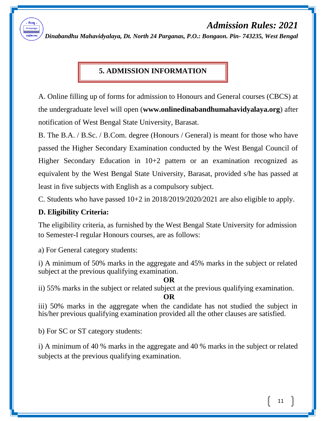*Dinabandhu Mahavidyalaya, Dt. North 24 Parganas, P.O.: Bongaon. Pin- 743235, West Bengal*

### **5. ADMISSION INFORMATION**

A. Online filling up of forms for admission to Honours and General courses (CBCS) at the undergraduate level will open (**www.onlinedinabandhumahavidyalaya.org**) after notification of West Bengal State University, Barasat.

B. The B.A. / B.Sc. / B.Com. degree (Honours / General) is meant for those who have passed the Higher Secondary Examination conducted by the West Bengal Council of Higher Secondary Education in 10+2 pattern or an examination recognized as equivalent by the West Bengal State University, Barasat, provided s/he has passed at least in five subjects with English as a compulsory subject.

C. Students who have passed 10+2 in 2018/2019/2020/2021 are also eligible to apply.

#### **D. Eligibility Criteria:**

The eligibility criteria, as furnished by the West Bengal State University for admission to Semester-I regular Honours courses, are as follows:

a) For General category students:

i) A minimum of 50% marks in the aggregate and 45% marks in the subject or related subject at the previous qualifying examination.

#### **OR**

ii) 55% marks in the subject or related subject at the previous qualifying examination.

**OR**

iii) 50% marks in the aggregate when the candidate has not studied the subject in his/her previous qualifying examination provided all the other clauses are satisfied.

b) For SC or ST category students:

i) A minimum of 40 % marks in the aggregate and 40 % marks in the subject or related subjects at the previous qualifying examination.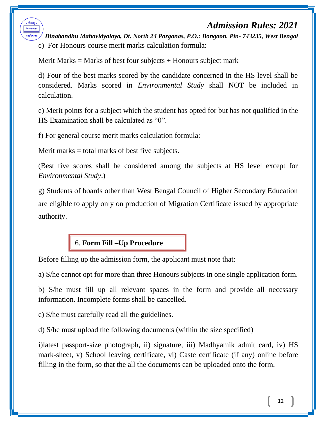*Dinabandhu Mahavidyalaya, Dt. North 24 Parganas, P.O.: Bongaon. Pin- 743235, West Bengal* c) For Honours course merit marks calculation formula:

Merit Marks = Marks of best four subjects  $+$  Honours subject mark

d) Four of the best marks scored by the candidate concerned in the HS level shall be considered. Marks scored in *Environmental Study* shall NOT be included in calculation.

e) Merit points for a subject which the student has opted for but has not qualified in the HS Examination shall be calculated as "0".

f) For general course merit marks calculation formula:

Merit marks  $=$  total marks of best five subjects.

মতাবিদ্যা

(Best five scores shall be considered among the subjects at HS level except for *Environmental Study*.)

g) Students of boards other than West Bengal Council of Higher Secondary Education are eligible to apply only on production of Migration Certificate issued by appropriate authority.

### 6. **Form Fill –Up Procedure**

Before filling up the admission form, the applicant must note that:

a) S/he cannot opt for more than three Honours subjects in one single application form.

b) S/he must fill up all relevant spaces in the form and provide all necessary information. Incomplete forms shall be cancelled.

c) S/he must carefully read all the guidelines.

d) S/he must upload the following documents (within the size specified)

i)latest passport-size photograph, ii) signature, iii) Madhyamik admit card, iv) HS mark-sheet, v) School leaving certificate, vi) Caste certificate (if any) online before filling in the form, so that the all the documents can be uploaded onto the form.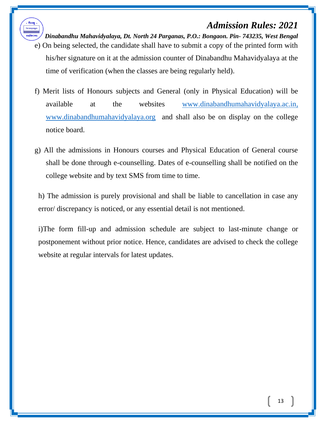

*Dinabandhu Mahavidyalaya, Dt. North 24 Parganas, P.O.: Bongaon. Pin- 743235, West Bengal*

- e) On being selected, the candidate shall have to submit a copy of the printed form with his/her signature on it at the admission counter of Dinabandhu Mahavidyalaya at the time of verification (when the classes are being regularly held).
- f) Merit lists of Honours subjects and General (only in Physical Education) will be available at the websites [www.dinabandhumahavidyalaya.ac.in,](http://www.dinabandhumahavidyalaya.ac.in/) [www.dinabandhumahavidyalaya.org](http://www.dinabandhumahavidyalaya.org/) and shall also be on display on the college notice board.
- g) All the admissions in Honours courses and Physical Education of General course shall be done through e-counselling. Dates of e-counselling shall be notified on the college website and by text SMS from time to time.

h) The admission is purely provisional and shall be liable to cancellation in case any error/ discrepancy is noticed, or any essential detail is not mentioned.

i)The form fill-up and admission schedule are subject to last-minute change or postponement without prior notice. Hence, candidates are advised to check the college website at regular intervals for latest updates.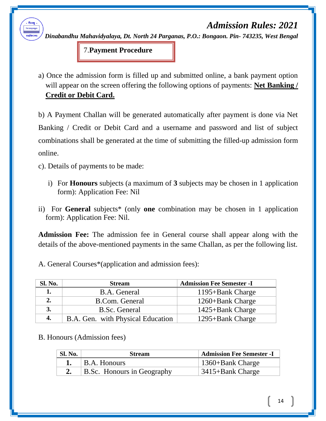*Dinabandhu Mahavidyalaya, Dt. North 24 Parganas, P.O.: Bongaon. Pin- 743235, West Bengal*

7.**Payment Procedure**

a) Once the admission form is filled up and submitted online, a bank payment option will appear on the screen offering the following options of payments: **Net Banking / Credit or Debit Card.**

b) A Payment Challan will be generated automatically after payment is done via Net Banking / Credit or Debit Card and a username and password and list of subject combinations shall be generated at the time of submitting the filled-up admission form online.

c). Details of payments to be made:

মতাবিদ্যা

- i) For **Honours** subjects (a maximum of **3** subjects may be chosen in 1 application form): Application Fee: Nil
- ii) For **General** subjects\* (only **one** combination may be chosen in 1 application form): Application Fee: Nil.

**Admission Fee:** The admission fee in General course shall appear along with the details of the above-mentioned payments in the same Challan, as per the following list.

A. General Courses\*(application and admission fees):

| Sl. No. | <b>Stream</b>                     | <b>Admission Fee Semester -I</b> |
|---------|-----------------------------------|----------------------------------|
|         | B.A. General                      | 1195+Bank Charge                 |
| 2.      | B.Com. General                    | 1260+Bank Charge                 |
| 3.      | B.Sc. General                     | 1425+Bank Charge                 |
| 4.      | B.A. Gen. with Physical Education | 1295+Bank Charge                 |

#### B. Honours (Admission fees)

| <b>Sl. No.</b> | <b>Stream</b>                     | <b>Admission Fee Semester -I</b> |
|----------------|-----------------------------------|----------------------------------|
|                | $\vert$ B.A. Honours              | $\vert$ 1360+Bank Charge         |
|                | <b>B.Sc.</b> Honours in Geography | 3415+Bank Charge                 |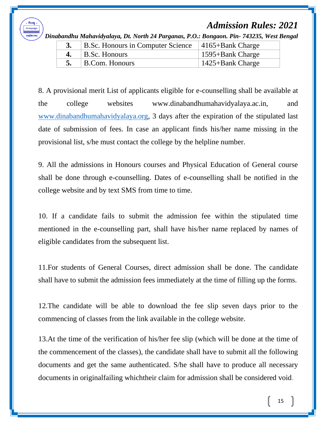

*Dinabandhu Mahavidyalaya, Dt. North 24 Parganas, P.O.: Bongaon. Pin- 743235, West Bengal*

| B.Sc. Honours in Computer Science   4165+Bank Charge |                      |
|------------------------------------------------------|----------------------|
| 4. $\vert$ B.Sc. Honours                             | 1595+Bank Charge     |
| B.Com. Honours                                       | $1425 + Bank Charge$ |

8. A provisional merit List of applicants eligible for e-counselling shall be available at the college websites www.dinabandhumahavidyalaya.ac.in, and [www.dinabandhumahavidyalaya.org,](http://www.dinabandhumahavidyalaya.org/) 3 days after the expiration of the stipulated last date of submission of fees. In case an applicant finds his/her name missing in the provisional list, s/he must contact the college by the helpline number.

9. All the admissions in Honours courses and Physical Education of General course shall be done through e-counselling. Dates of e-counselling shall be notified in the college website and by text SMS from time to time.

10. If a candidate fails to submit the admission fee within the stipulated time mentioned in the e-counselling part, shall have his/her name replaced by names of eligible candidates from the subsequent list.

11.For students of General Courses, direct admission shall be done. The candidate shall have to submit the admission fees immediately at the time of filling up the forms.

12.The candidate will be able to download the fee slip seven days prior to the commencing of classes from the link available in the college website.

13.At the time of the verification of his/her fee slip (which will be done at the time of the commencement of the classes), the candidate shall have to submit all the following documents and get the same authenticated. S/he shall have to produce all necessary documents in originalfailing whichtheir claim for admission shall be considered void.